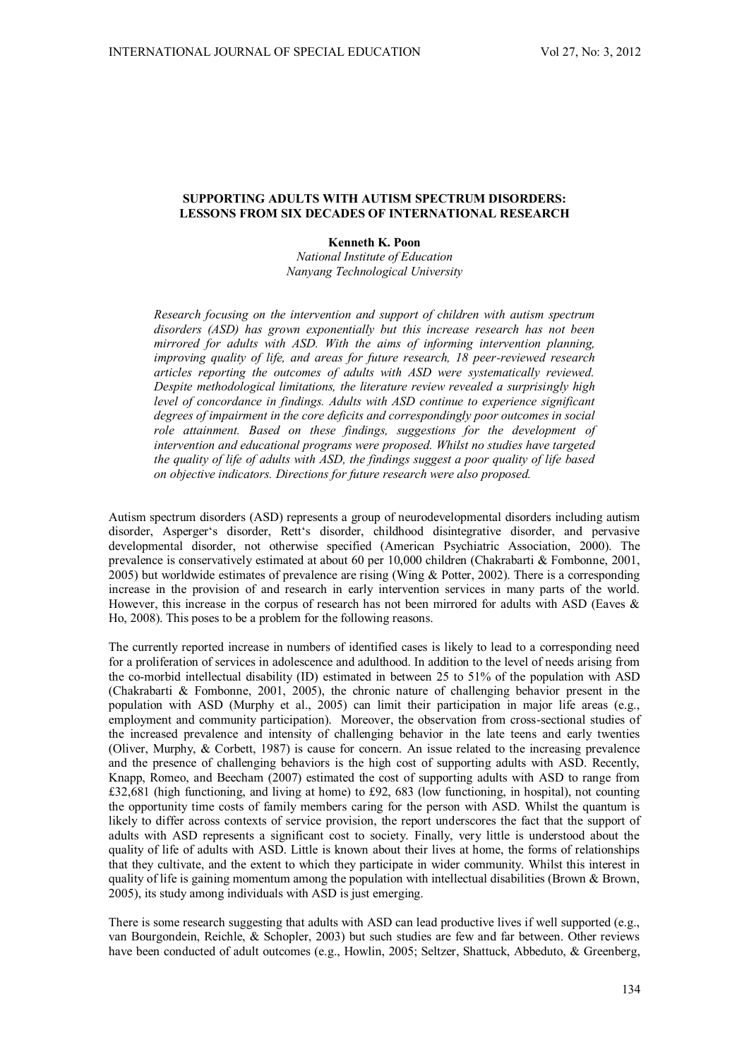# **SUPPORTING ADULTS WITH AUTISM SPECTRUM DISORDERS: LESSONS FROM SIX DECADES OF INTERNATIONAL RESEARCH**

**Kenneth K. Poon** 

*National Institute of Education Nanyang Technological University* 

*Research focusing on the intervention and support of children with autism spectrum disorders (ASD) has grown exponentially but this increase research has not been mirrored for adults with ASD. With the aims of informing intervention planning, improving quality of life, and areas for future research, 18 peer-reviewed research articles reporting the outcomes of adults with ASD were systematically reviewed. Despite methodological limitations, the literature review revealed a surprisingly high level of concordance in findings. Adults with ASD continue to experience significant degrees of impairment in the core deficits and correspondingly poor outcomes in social role attainment. Based on these findings, suggestions for the development of intervention and educational programs were proposed. Whilst no studies have targeted the quality of life of adults with ASD, the findings suggest a poor quality of life based on objective indicators. Directions for future research were also proposed.* 

Autism spectrum disorders (ASD) represents a group of neurodevelopmental disorders including autism disorder, Asperger's disorder, Rett's disorder, childhood disintegrative disorder, and pervasive developmental disorder, not otherwise specified (American Psychiatric Association, 2000). The prevalence is conservatively estimated at about 60 per 10,000 children (Chakrabarti & Fombonne, 2001, 2005) but worldwide estimates of prevalence are rising (Wing & Potter, 2002). There is a corresponding increase in the provision of and research in early intervention services in many parts of the world. However, this increase in the corpus of research has not been mirrored for adults with ASD (Eaves  $\&$ Ho, 2008). This poses to be a problem for the following reasons.

The currently reported increase in numbers of identified cases is likely to lead to a corresponding need for a proliferation of services in adolescence and adulthood. In addition to the level of needs arising from the co-morbid intellectual disability (ID) estimated in between 25 to 51% of the population with ASD (Chakrabarti & Fombonne, 2001, 2005), the chronic nature of challenging behavior present in the population with ASD (Murphy et al., 2005) can limit their participation in major life areas (e.g., employment and community participation). Moreover, the observation from cross-sectional studies of the increased prevalence and intensity of challenging behavior in the late teens and early twenties (Oliver, Murphy, & Corbett, 1987) is cause for concern. An issue related to the increasing prevalence and the presence of challenging behaviors is the high cost of supporting adults with ASD. Recently, Knapp, Romeo, and Beecham (2007) estimated the cost of supporting adults with ASD to range from £32,681 (high functioning, and living at home) to £92, 683 (low functioning, in hospital), not counting the opportunity time costs of family members caring for the person with ASD. Whilst the quantum is likely to differ across contexts of service provision, the report underscores the fact that the support of adults with ASD represents a significant cost to society. Finally, very little is understood about the quality of life of adults with ASD. Little is known about their lives at home, the forms of relationships that they cultivate, and the extent to which they participate in wider community. Whilst this interest in quality of life is gaining momentum among the population with intellectual disabilities (Brown & Brown, 2005), its study among individuals with ASD is just emerging.

There is some research suggesting that adults with ASD can lead productive lives if well supported (e.g., van Bourgondein, Reichle, & Schopler, 2003) but such studies are few and far between. Other reviews have been conducted of adult outcomes (e.g., Howlin, 2005; Seltzer, Shattuck, Abbeduto, & Greenberg,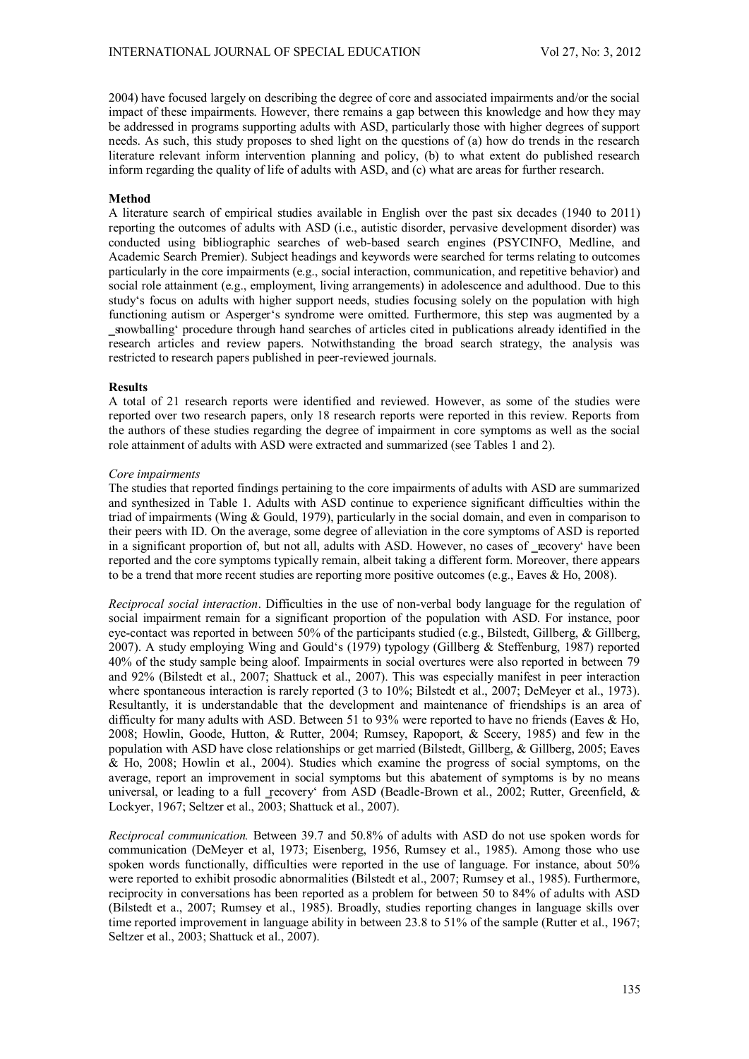2004) have focused largely on describing the degree of core and associated impairments and/or the social impact of these impairments. However, there remains a gap between this knowledge and how they may be addressed in programs supporting adults with ASD, particularly those with higher degrees of support needs. As such, this study proposes to shed light on the questions of (a) how do trends in the research literature relevant inform intervention planning and policy, (b) to what extent do published research inform regarding the quality of life of adults with ASD, and (c) what are areas for further research.

### **Method**

A literature search of empirical studies available in English over the past six decades (1940 to 2011) reporting the outcomes of adults with ASD (i.e., autistic disorder, pervasive development disorder) was conducted using bibliographic searches of web-based search engines (PSYCINFO, Medline, and Academic Search Premier). Subject headings and keywords were searched for terms relating to outcomes particularly in the core impairments (e.g., social interaction, communication, and repetitive behavior) and social role attainment (e.g., employment, living arrangements) in adolescence and adulthood. Due to this study's focus on adults with higher support needs, studies focusing solely on the population with high functioning autism or Asperger's syndrome were omitted. Furthermore, this step was augmented by a snowballing' procedure through hand searches of articles cited in publications already identified in the research articles and review papers. Notwithstanding the broad search strategy, the analysis was restricted to research papers published in peer-reviewed journals.

### **Results**

A total of 21 research reports were identified and reviewed. However, as some of the studies were reported over two research papers, only 18 research reports were reported in this review. Reports from the authors of these studies regarding the degree of impairment in core symptoms as well as the social role attainment of adults with ASD were extracted and summarized (see Tables 1 and 2).

## *Core impairments*

The studies that reported findings pertaining to the core impairments of adults with ASD are summarized and synthesized in Table 1. Adults with ASD continue to experience significant difficulties within the triad of impairments (Wing & Gould, 1979), particularly in the social domain, and even in comparison to their peers with ID. On the average, some degree of alleviation in the core symptoms of ASD is reported in a significant proportion of, but not all, adults with ASD. However, no cases of recovery' have been reported and the core symptoms typically remain, albeit taking a different form. Moreover, there appears to be a trend that more recent studies are reporting more positive outcomes (e.g., Eaves & Ho, 2008).

*Reciprocal social interaction*. Difficulties in the use of non-verbal body language for the regulation of social impairment remain for a significant proportion of the population with ASD. For instance, poor eye-contact was reported in between 50% of the participants studied (e.g., Bilstedt, Gillberg, & Gillberg, 2007). A study employing Wing and Gould's (1979) typology (Gillberg & Steffenburg, 1987) reported 40% of the study sample being aloof. Impairments in social overtures were also reported in between 79 and 92% (Bilstedt et al., 2007; Shattuck et al., 2007). This was especially manifest in peer interaction where spontaneous interaction is rarely reported (3 to 10%; Bilstedt et al., 2007; DeMeyer et al., 1973). Resultantly, it is understandable that the development and maintenance of friendships is an area of difficulty for many adults with ASD. Between 51 to 93% were reported to have no friends (Eaves & Ho, 2008; Howlin, Goode, Hutton, & Rutter, 2004; Rumsey, Rapoport, & Sceery, 1985) and few in the population with ASD have close relationships or get married (Bilstedt, Gillberg, & Gillberg, 2005; Eaves & Ho, 2008; Howlin et al., 2004). Studies which examine the progress of social symptoms, on the average, report an improvement in social symptoms but this abatement of symptoms is by no means universal, or leading to a full recovery' from ASD (Beadle-Brown et al., 2002; Rutter, Greenfield, & Lockyer, 1967; Seltzer et al., 2003; Shattuck et al., 2007).

*Reciprocal communication.* Between 39.7 and 50.8% of adults with ASD do not use spoken words for communication (DeMeyer et al, 1973; Eisenberg, 1956, Rumsey et al., 1985). Among those who use spoken words functionally, difficulties were reported in the use of language. For instance, about 50% were reported to exhibit prosodic abnormalities (Bilstedt et al., 2007; Rumsey et al., 1985). Furthermore, reciprocity in conversations has been reported as a problem for between 50 to 84% of adults with ASD (Bilstedt et a., 2007; Rumsey et al., 1985). Broadly, studies reporting changes in language skills over time reported improvement in language ability in between 23.8 to 51% of the sample (Rutter et al., 1967; Seltzer et al., 2003; Shattuck et al., 2007).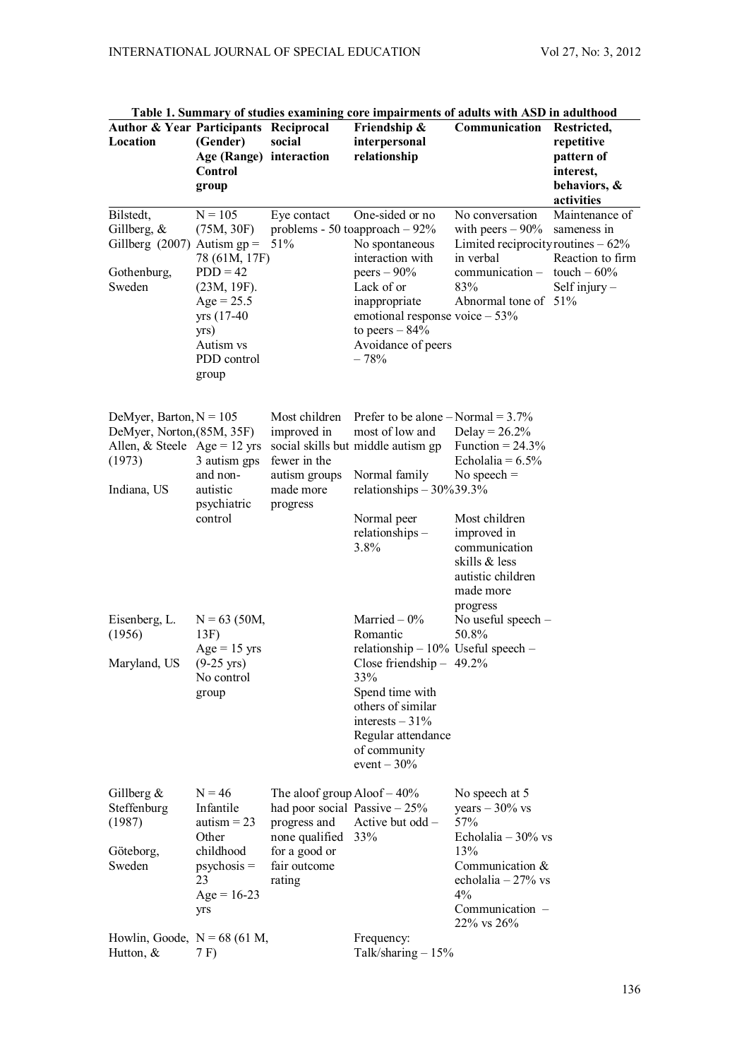| <b>Author &amp; Year Participants Reciprocal</b><br>Location                                                     | (Gender)<br>Age (Range) interaction<br>Control<br>group                                                                                           | social                                                                                                                                          | Friendship &<br>interpersonal<br>relationship                                                                                                                                                                                        | Communication                                                                                                                                                      | Restricted,<br>repetitive<br>pattern of<br>interest,<br>behaviors, &<br>activities   |
|------------------------------------------------------------------------------------------------------------------|---------------------------------------------------------------------------------------------------------------------------------------------------|-------------------------------------------------------------------------------------------------------------------------------------------------|--------------------------------------------------------------------------------------------------------------------------------------------------------------------------------------------------------------------------------------|--------------------------------------------------------------------------------------------------------------------------------------------------------------------|--------------------------------------------------------------------------------------|
| Bilstedt,<br>Gillberg, &<br>Gillberg (2007) Autism $gp =$<br>Gothenburg,<br>Sweden                               | $N = 105$<br>(75M, 30F)<br>78 (61M, 17F)<br>$PDD = 42$<br>(23M, 19F).<br>$Age = 25.5$<br>yrs (17-40)<br>yrs)<br>Autism vs<br>PDD control<br>group | Eye contact<br>51%                                                                                                                              | One-sided or no<br>problems - 50 toapproach $-92\%$<br>No spontaneous<br>interaction with<br>peers $-90\%$<br>Lack of or<br>inappropriate<br>emotional response voice $-53%$<br>to peers $-84%$<br>Avoidance of peers<br>$-78%$      | No conversation<br>with peers $-90\%$<br>Limited reciprocity routines $-62%$<br>in verbal<br>communication-<br>83%<br>Abnormal tone of 51%                         | Maintenance of<br>sameness in<br>Reaction to firm<br>touch $-60%$<br>Self injury $-$ |
| DeMyer, Barton, $N = 105$<br>DeMyer, Norton, (85M, 35F)<br>Allen, & Steele Age = 12 yrs<br>(1973)<br>Indiana, US | 3 autism gps<br>and non-<br>autistic<br>psychiatric<br>control                                                                                    | Most children<br>improved in<br>fewer in the<br>autism groups<br>made more<br>progress                                                          | Prefer to be alone $-$ Normal = 3.7%<br>most of low and<br>social skills but middle autism gp<br>Normal family<br>relationships $-30\%39.3\%$<br>Normal peer<br>relationships -                                                      | Delay = $26.2%$<br>Function = $24.3\%$<br>Echolalia = $6.5\%$<br>No speech $=$<br>Most children<br>improved in                                                     |                                                                                      |
| Eisenberg, L.<br>(1956)<br>Maryland, US                                                                          | $N = 63$ (50M,<br>13F)<br>$Age = 15$ yrs<br>$(9-25 \text{ yrs})$<br>No control<br>group                                                           |                                                                                                                                                 | 3.8%<br>Married $-0\%$<br>Romantic<br>relationship $-10\%$ Useful speech $-$<br>Close friendship $-49.2\%$<br>33%<br>Spend time with<br>others of similar<br>interests $-31\%$<br>Regular attendance<br>of community<br>event $-30%$ | communication<br>skills & less<br>autistic children<br>made more<br>progress<br>No useful speech -<br>50.8%                                                        |                                                                                      |
| Gillberg $\&$<br>Steffenburg<br>(1987)<br>Göteborg,<br>Sweden                                                    | $N = 46$<br>Infantile<br>autism $= 23$<br>Other<br>childhood<br>$p$ sychosis =<br>23<br>$Age = 16-23$<br>yrs                                      | The aloof group $A$ loof $-40\%$<br>had poor social Passive $-25%$<br>progress and<br>none qualified<br>for a good or<br>fair outcome<br>rating | Active but odd -<br>33%                                                                                                                                                                                                              | No speech at 5<br>years $-30\%$ vs<br>57%<br>Echolalia $-30\%$ vs<br>13%<br>Communication $&$<br>echolalia $-27\%$ vs<br>4%<br>Communication -<br>$22\%$ vs $26\%$ |                                                                                      |
| Howlin, Goode, $N = 68$ (61 M,<br>Hutton, $&$                                                                    | 7 F)                                                                                                                                              |                                                                                                                                                 | Frequency:<br>Talk/sharing $-15%$                                                                                                                                                                                                    |                                                                                                                                                                    |                                                                                      |

**Table 1. Summary of studies examining core impairments of adults with ASD in adulthood**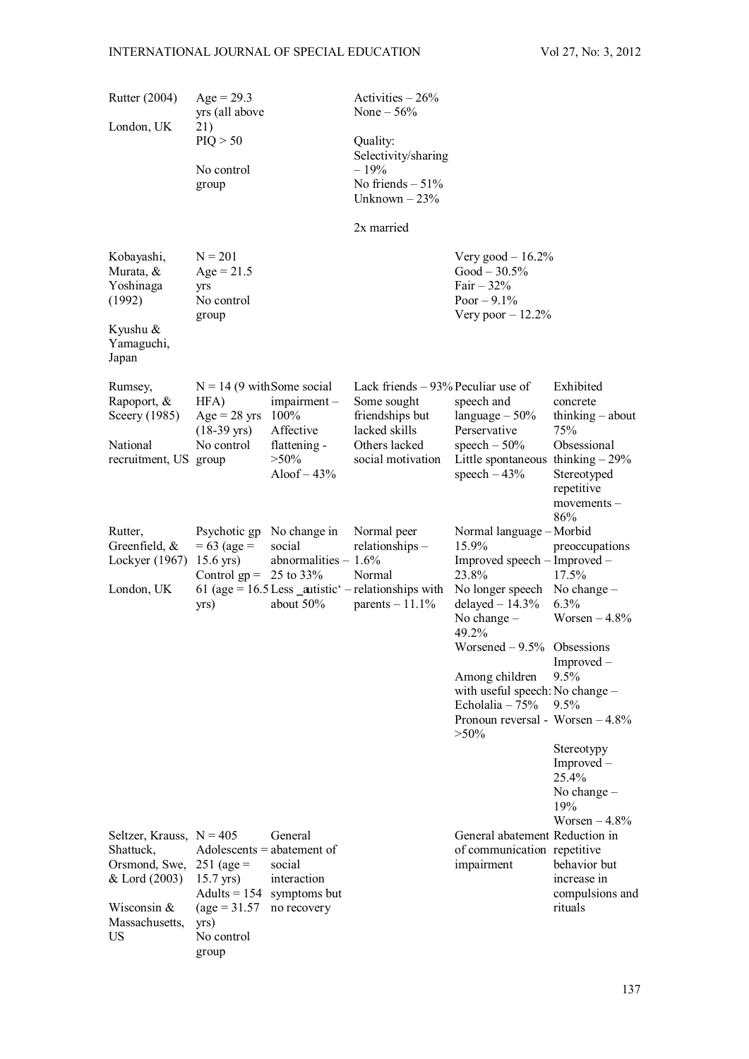| Rutter (2004)                                                                                                      | $Age = 29.3$<br>yrs (all above                                                                                                                  |                                                                                | Activities $-26%$<br>None $-56\%$                                                                                            |                                                                                                                                                                                                                                                                                                                    |                                                                                                                                                                      |
|--------------------------------------------------------------------------------------------------------------------|-------------------------------------------------------------------------------------------------------------------------------------------------|--------------------------------------------------------------------------------|------------------------------------------------------------------------------------------------------------------------------|--------------------------------------------------------------------------------------------------------------------------------------------------------------------------------------------------------------------------------------------------------------------------------------------------------------------|----------------------------------------------------------------------------------------------------------------------------------------------------------------------|
| London, UK                                                                                                         | 21)<br>PIQ > 50<br>No control<br>group                                                                                                          |                                                                                | Quality:<br>Selectivity/sharing<br>$-19%$<br>No friends $-51\%$<br>Unknown $-23%$                                            |                                                                                                                                                                                                                                                                                                                    |                                                                                                                                                                      |
|                                                                                                                    |                                                                                                                                                 |                                                                                | 2x married                                                                                                                   |                                                                                                                                                                                                                                                                                                                    |                                                                                                                                                                      |
| Kobayashi,<br>Murata, &<br>Yoshinaga<br>(1992)                                                                     | $N = 201$<br>$Age = 21.5$<br>yrs<br>No control<br>group                                                                                         |                                                                                |                                                                                                                              | Very good $-16.2\%$<br>$Good - 30.5%$<br>Fair $-32\%$<br>Poor $-9.1\%$<br>Very poor $-12.2\%$                                                                                                                                                                                                                      |                                                                                                                                                                      |
| Kyushu &<br>Yamaguchi,<br>Japan                                                                                    |                                                                                                                                                 |                                                                                |                                                                                                                              |                                                                                                                                                                                                                                                                                                                    |                                                                                                                                                                      |
| Rumsey,<br>Rapoport, &<br>Sceery (1985)<br>National<br>recruitment, US group                                       | $N = 14$ (9 with Some social<br>HFA)<br>$Age = 28 \text{ yrs}$<br>$(18-39 \text{ yrs})$<br>No control                                           | $impairment -$<br>100%<br>Affective<br>flattening -<br>$>50\%$<br>Aloof $-43%$ | Lack friends $-93%$ Peculiar use of<br>Some sought<br>friendships but<br>lacked skills<br>Others lacked<br>social motivation | speech and<br>language $-50%$<br>Perservative<br>speech $-50\%$<br>Little spontaneous thinking $-29\%$<br>speech $-43%$                                                                                                                                                                                            | Exhibited<br>concrete<br>thinking $-$ about<br>75%<br>Obsessional<br>Stereotyped<br>repetitive<br>$movements -$<br>86%                                               |
| Rutter,<br>Greenfield, $&$<br>Lockyer (1967)<br>London, UK                                                         | Psychotic gp<br>$= 63$ (age $=$<br>$15.6$ yrs)<br>Control $gp = 25$ to 33%<br>yrs)                                                              | No change in<br>social<br>abnormalities $-1.6\%$<br>about 50%                  | Normal peer<br>relationships-<br>Normal<br>61 (age = $16.5$ Less _autistic' - relationships with<br>parents $-11.1\%$        | Normal language - Morbid<br>15.9%<br>Improved speech – Improved –<br>23.8%<br>No longer speech No change -<br>delayed $-14.3%$<br>No change $-$<br>49.2%<br>Worsened $-9.5%$ Obsessions<br>Among children<br>with useful speech: No change -<br>Echolalia $-75%$<br>Pronoun reversal - Worsen $-4.8\%$<br>$> 50\%$ | preoccupations<br>17.5%<br>6.3%<br>Worsen $-4.8\%$<br>$Improved -$<br>9.5%<br>$9.5\%$<br>Stereotypy<br>Improved -<br>25.4%<br>No change $-$<br>19%<br>Worsen $-4.8%$ |
| Seltzer, Krauss, $N = 405$<br>Shattuck,<br>Orsmond, Swe,<br>& Lord (2003)<br>Wisconsin $&$<br>Massachusetts,<br>US | $Adolescents = abatement of$<br>$251 \text{ (age)} =$<br>$15.7$ yrs)<br>Adults $= 154$<br>$\text{(age} = 31.57)$<br>yrs)<br>No control<br>group | General<br>social<br>interaction<br>symptoms but<br>no recovery                |                                                                                                                              | General abatement Reduction in<br>of communication repetitive<br>impairment                                                                                                                                                                                                                                        | behavior but<br>increase in<br>compulsions and<br>rituals                                                                                                            |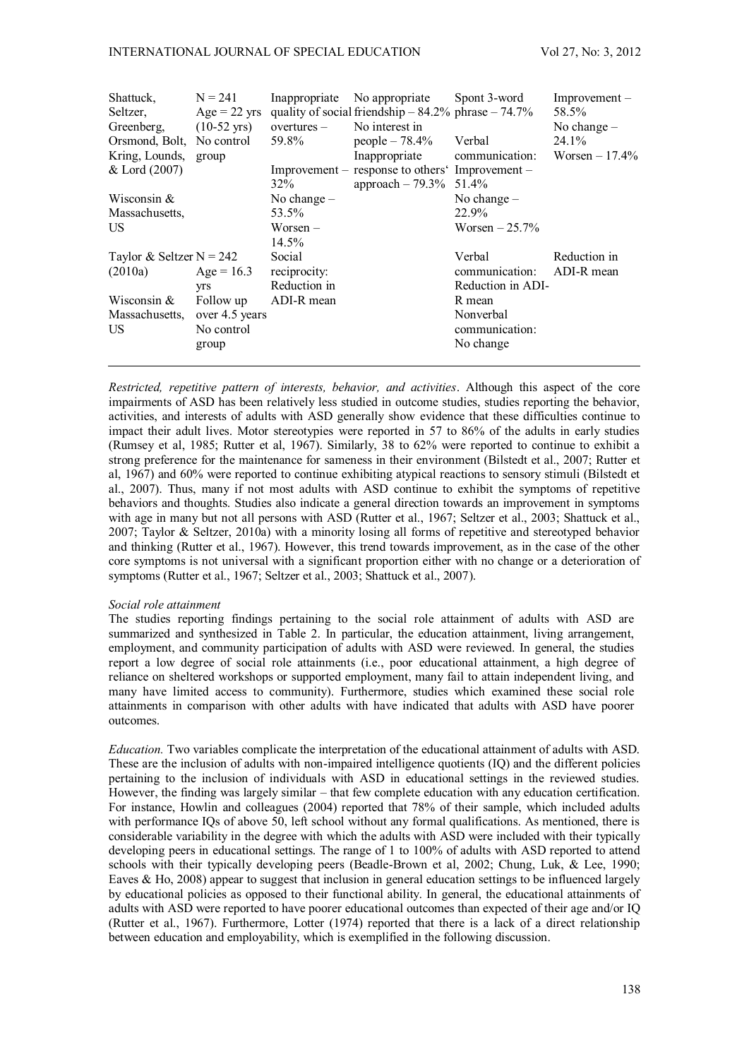| Shattuck,<br>Seltzer,<br>Greenberg, | $N = 241$<br>$Age = 22 \text{ yrs}$<br>$(10-52 \text{ yrs})$ | overtures –   | Inappropriate No appropriate<br>quality of social friendship $-84.2\%$ phrase $-74.7\%$<br>No interest in | Spont 3-word      | $Improvement -$<br>58.5%<br>No change $-$ |
|-------------------------------------|--------------------------------------------------------------|---------------|-----------------------------------------------------------------------------------------------------------|-------------------|-------------------------------------------|
| Orsmond, Bolt, No control           |                                                              | 59.8%         | people $-78.4\%$                                                                                          | Verbal            | 24.1%                                     |
| Kring, Lounds,                      | group                                                        |               | Inappropriate                                                                                             | communication:    | Worsen $-17.4\%$                          |
| & Lord (2007)                       |                                                              |               | Improvement – response to others' Improvement –                                                           |                   |                                           |
|                                     |                                                              | 32%           | approach $-79.3\%$ 51.4%                                                                                  |                   |                                           |
| Wisconsin $&$                       |                                                              | No change $-$ |                                                                                                           | No change $-$     |                                           |
| Massachusetts,                      |                                                              | 53.5%         |                                                                                                           | 22.9%             |                                           |
| US                                  |                                                              | Worsen –      |                                                                                                           | Worsen $-25.7\%$  |                                           |
|                                     |                                                              | 14.5%         |                                                                                                           |                   |                                           |
| Taylor & Seltzer $N = 242$          |                                                              | Social        |                                                                                                           | Verbal            | Reduction in                              |
| (2010a)                             | Age = $16.3$                                                 | reciprocity:  |                                                                                                           | communication:    | ADI-R mean                                |
|                                     | <b>yrs</b>                                                   | Reduction in  |                                                                                                           | Reduction in ADI- |                                           |
| Wisconsin $&$                       | Follow up                                                    | ADI-R mean    |                                                                                                           | R mean            |                                           |
| Massachusetts,                      | over 4.5 years                                               |               |                                                                                                           | Nonverbal         |                                           |
| US                                  | No control                                                   |               |                                                                                                           | communication:    |                                           |
|                                     | group                                                        |               |                                                                                                           | No change         |                                           |
|                                     |                                                              |               |                                                                                                           |                   |                                           |

*Restricted, repetitive pattern of interests, behavior, and activities*. Although this aspect of the core impairments of ASD has been relatively less studied in outcome studies, studies reporting the behavior, activities, and interests of adults with ASD generally show evidence that these difficulties continue to impact their adult lives. Motor stereotypies were reported in 57 to 86% of the adults in early studies (Rumsey et al, 1985; Rutter et al, 1967). Similarly, 38 to 62% were reported to continue to exhibit a strong preference for the maintenance for sameness in their environment (Bilstedt et al., 2007; Rutter et al, 1967) and 60% were reported to continue exhibiting atypical reactions to sensory stimuli (Bilstedt et al., 2007). Thus, many if not most adults with ASD continue to exhibit the symptoms of repetitive behaviors and thoughts. Studies also indicate a general direction towards an improvement in symptoms with age in many but not all persons with ASD (Rutter et al., 1967; Seltzer et al., 2003; Shattuck et al., 2007; Taylor & Seltzer, 2010a) with a minority losing all forms of repetitive and stereotyped behavior and thinking (Rutter et al., 1967). However, this trend towards improvement, as in the case of the other core symptoms is not universal with a significant proportion either with no change or a deterioration of symptoms (Rutter et al., 1967; Seltzer et al., 2003; Shattuck et al., 2007).

## *Social role attainment*

The studies reporting findings pertaining to the social role attainment of adults with ASD are summarized and synthesized in Table 2. In particular, the education attainment, living arrangement, employment, and community participation of adults with ASD were reviewed. In general, the studies report a low degree of social role attainments (i.e., poor educational attainment, a high degree of reliance on sheltered workshops or supported employment, many fail to attain independent living, and many have limited access to community). Furthermore, studies which examined these social role attainments in comparison with other adults with have indicated that adults with ASD have poorer outcomes.

*Education.* Two variables complicate the interpretation of the educational attainment of adults with ASD. These are the inclusion of adults with non-impaired intelligence quotients (IQ) and the different policies pertaining to the inclusion of individuals with ASD in educational settings in the reviewed studies. However, the finding was largely similar – that few complete education with any education certification. For instance, Howlin and colleagues (2004) reported that 78% of their sample, which included adults with performance IOs of above 50, left school without any formal qualifications. As mentioned, there is considerable variability in the degree with which the adults with ASD were included with their typically developing peers in educational settings. The range of 1 to 100% of adults with ASD reported to attend schools with their typically developing peers (Beadle-Brown et al, 2002; Chung, Luk, & Lee, 1990; Eaves  $\&$  Ho, 2008) appear to suggest that inclusion in general education settings to be influenced largely by educational policies as opposed to their functional ability. In general, the educational attainments of adults with ASD were reported to have poorer educational outcomes than expected of their age and/or IQ (Rutter et al., 1967). Furthermore, Lotter (1974) reported that there is a lack of a direct relationship between education and employability, which is exemplified in the following discussion.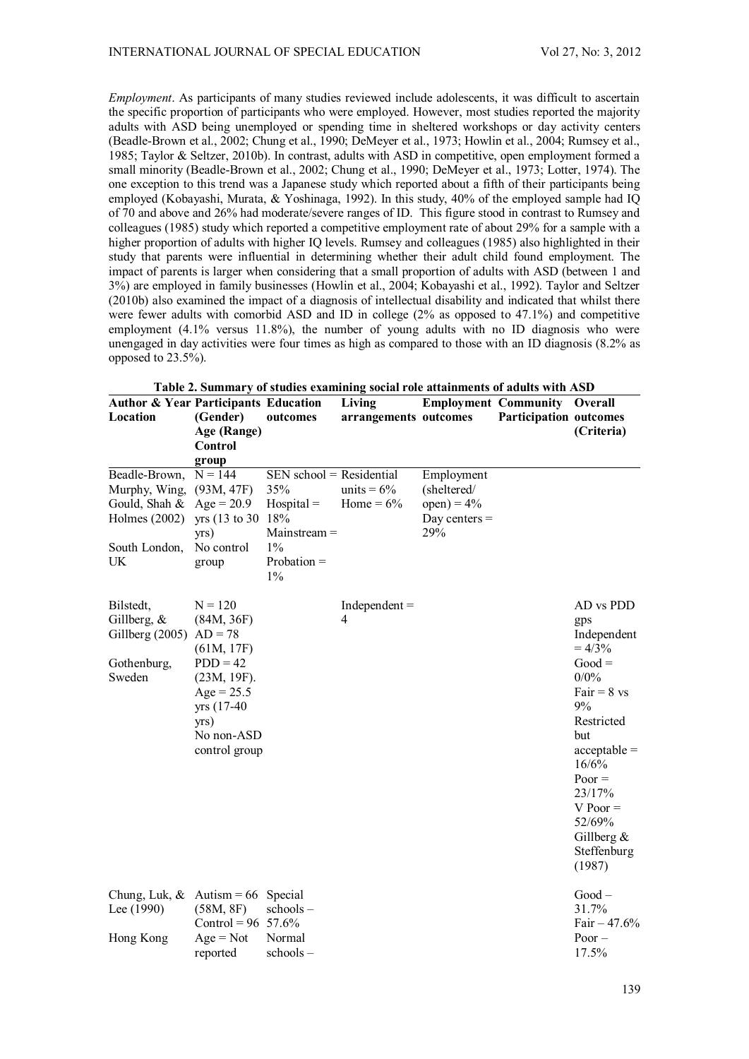*Employment*. As participants of many studies reviewed include adolescents, it was difficult to ascertain the specific proportion of participants who were employed. However, most studies reported the majority adults with ASD being unemployed or spending time in sheltered workshops or day activity centers (Beadle-Brown et al., 2002; Chung et al., 1990; DeMeyer et al., 1973; Howlin et al., 2004; Rumsey et al., 1985; Taylor & Seltzer, 2010b). In contrast, adults with ASD in competitive, open employment formed a small minority (Beadle-Brown et al., 2002; Chung et al., 1990; DeMeyer et al., 1973; Lotter, 1974). The one exception to this trend was a Japanese study which reported about a fifth of their participants being employed (Kobayashi, Murata, & Yoshinaga, 1992). In this study, 40% of the employed sample had IQ of 70 and above and 26% had moderate/severe ranges of ID. This figure stood in contrast to Rumsey and colleagues (1985) study which reported a competitive employment rate of about 29% for a sample with a higher proportion of adults with higher IQ levels. Rumsey and colleagues (1985) also highlighted in their study that parents were influential in determining whether their adult child found employment. The impact of parents is larger when considering that a small proportion of adults with ASD (between 1 and 3%) are employed in family businesses (Howlin et al., 2004; Kobayashi et al., 1992). Taylor and Seltzer (2010b) also examined the impact of a diagnosis of intellectual disability and indicated that whilst there were fewer adults with comorbid ASD and ID in college (2% as opposed to 47.1%) and competitive employment (4.1% versus 11.8%), the number of young adults with no ID diagnosis who were unengaged in day activities were four times as high as compared to those with an ID diagnosis (8.2% as opposed to 23.5%).

| <b>Author &amp; Year Participants Education</b>                                         |                                                                                                                                                          |                                                                                                     | Thore <b>A</b> building y or studies examining social role attainments of audits with risp<br>Living |                                                                      | <b>Employment Community Overall</b> |                                                                                                                                                                                                                                   |
|-----------------------------------------------------------------------------------------|----------------------------------------------------------------------------------------------------------------------------------------------------------|-----------------------------------------------------------------------------------------------------|------------------------------------------------------------------------------------------------------|----------------------------------------------------------------------|-------------------------------------|-----------------------------------------------------------------------------------------------------------------------------------------------------------------------------------------------------------------------------------|
| Location                                                                                | (Gender)                                                                                                                                                 | outcomes                                                                                            | arrangements outcomes                                                                                |                                                                      | <b>Participation outcomes</b>       |                                                                                                                                                                                                                                   |
|                                                                                         | Age (Range)                                                                                                                                              |                                                                                                     |                                                                                                      |                                                                      |                                     | (Criteria)                                                                                                                                                                                                                        |
|                                                                                         | Control                                                                                                                                                  |                                                                                                     |                                                                                                      |                                                                      |                                     |                                                                                                                                                                                                                                   |
|                                                                                         | group                                                                                                                                                    |                                                                                                     |                                                                                                      |                                                                      |                                     |                                                                                                                                                                                                                                   |
| Beadle-Brown,<br>Murphy, Wing,<br>Gould, Shah &<br>Holmes (2002)<br>South London,<br>UK | $N = 144$<br>(93M, 47F)<br>$Age = 20.9$<br>yrs (13 to 30 18%)<br>vrs)<br>No control<br>group                                                             | SEN school = Residential<br>35%<br>$Hospital =$<br>$Mainstream =$<br>$1\%$<br>$Probability =$<br>1% | units = $6\%$<br>Home = $6\%$                                                                        | Employment<br>(sheltered/<br>$open) = 4\%$<br>Day centers $=$<br>29% |                                     |                                                                                                                                                                                                                                   |
| Bilstedt,<br>Gillberg, $\&$<br>Gillberg (2005)<br>Gothenburg,<br>Sweden                 | $N = 120$<br>(84M, 36F)<br>$AD = 78$<br>(61M, 17F)<br>$PDD = 42$<br>$(23M, 19F)$ .<br>$Age = 25.5$<br>yrs (17-40)<br>yrs)<br>No non-ASD<br>control group |                                                                                                     | $Independent =$<br>4                                                                                 |                                                                      |                                     | AD vs PDD<br>gps<br>Independent<br>$= 4/3\%$<br>$Good =$<br>0/0%<br>$Fair = 8$ vs<br>9%<br>Restricted<br>but<br>$acceptable =$<br>16/6%<br>$Poor =$<br>23/17%<br>$V$ Poor $=$<br>52/69%<br>Gillberg $\&$<br>Steffenburg<br>(1987) |
| Chung, Luk, & Autism = 66 Special<br>Lee (1990)<br>Hong Kong                            | (58M, 8F)<br>Control = $96\,57.6\%$<br>$Age = Not$<br>reported                                                                                           | schools-<br>Normal<br>schools-                                                                      |                                                                                                      |                                                                      |                                     | $Good -$<br>31.7%<br>Fair $-47.6%$<br>Poor $-$<br>17.5%                                                                                                                                                                           |

| Table 2. Summary of studies examining social role attainments of adults with ASD |  |  |  |
|----------------------------------------------------------------------------------|--|--|--|
|                                                                                  |  |  |  |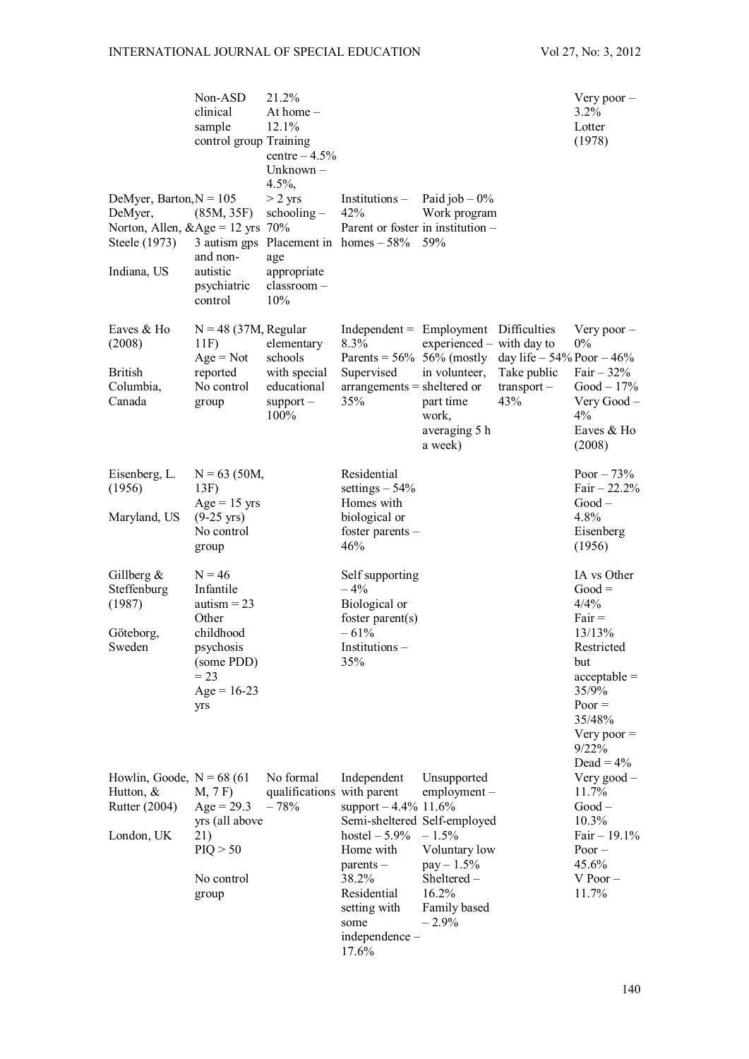|                                                                                                              | Non-ASD<br>clinical<br>sample<br>control group Training                                                                   | 21.2%<br>At home $-$<br>12.1%<br>centre $-4.5%$<br>Unknown -<br>$4.5\%$ ,   |                                                                                                                                                                                                |                                                                                                                              |                                                                      | Very poor $-$<br>3.2%<br>Lotter<br>(1978)                                                                                                                |
|--------------------------------------------------------------------------------------------------------------|---------------------------------------------------------------------------------------------------------------------------|-----------------------------------------------------------------------------|------------------------------------------------------------------------------------------------------------------------------------------------------------------------------------------------|------------------------------------------------------------------------------------------------------------------------------|----------------------------------------------------------------------|----------------------------------------------------------------------------------------------------------------------------------------------------------|
| DeMyer, Barton, $N = 105$<br>DeMyer,<br>Norton, Allen, $\&$ Age = 12 yrs 70%<br>Steele (1973)<br>Indiana, US | (85M, 35F)<br>and non-<br>autistic<br>psychiatric<br>control                                                              | $> 2$ yrs<br>$schoding -$<br>age<br>appropriate<br>classroom-<br>10%        | $Institutions -$<br>42%<br>Parent or foster in institution -<br>3 autism gps Placement in homes $-58\%$                                                                                        | Paid job $-0\%$<br>Work program<br>59%                                                                                       |                                                                      |                                                                                                                                                          |
| Eaves & Ho<br>(2008)<br><b>British</b><br>Columbia,<br>Canada                                                | $N = 48$ (37M, Regular<br>11F<br>$Age = Not$<br>reported<br>No control<br>group                                           | elementary<br>schools<br>with special<br>educational<br>$support -$<br>100% | $Independent = Employment$ Difficulties<br>8.3%<br>Parents = $56\%$ 56% (mostly<br>Supervised<br>$arrangements = sheltered or$<br>35%                                                          | experienced – with day to<br>in volunteer,<br>part time<br>work,<br>averaging 5 h<br>a week)                                 | day life $-54\%$ Poor $-46\%$<br>Take public<br>$transport -$<br>43% | Very poor $-$<br>$0\%$<br>Fair $-32%$<br>$Good - 17\%$<br>Very Good -<br>4%<br>Eaves & Ho<br>(2008)                                                      |
| Eisenberg, L.<br>(1956)<br>Maryland, US                                                                      | $N = 63$ (50M,<br>13F)<br>$Age = 15$ yrs<br>$(9-25 \text{ yrs})$<br>No control<br>group                                   |                                                                             | Residential<br>settings $-54%$<br>Homes with<br>biological or<br>foster parents -<br>46%                                                                                                       |                                                                                                                              |                                                                      | Poor $-73%$<br>Fair $-22.2%$<br>$Good -$<br>4.8%<br>Eisenberg<br>(1956)                                                                                  |
| Gillberg $\&$<br>Steffenburg<br>(1987)<br>Göteborg,<br>Sweden                                                | $N = 46$<br>Infantile<br>autism $= 23$<br>Other<br>childhood<br>psychosis<br>(some PDD)<br>$= 23$<br>$Age = 16-23$<br>yrs |                                                                             | Self supporting<br>$-4%$<br>Biological or<br>foster parent $(s)$<br>$-61%$<br>Institutions -<br>35%                                                                                            |                                                                                                                              |                                                                      | IA vs Other<br>$Good =$<br>4/4%<br>$Fair =$<br>13/13%<br>Restricted<br>but<br>$acceptable =$<br>35/9%<br>$Poor =$<br>35/48%<br>Very poor $=$<br>$9/22\%$ |
| Howlin, Goode, $N = 68(61)$<br>Hutton, $&$<br>Rutter (2004)<br>London, UK                                    | M, 7F)<br>$Age = 29.3$<br>yrs (all above<br>21)<br>PIQ > 50<br>No control<br>group                                        | No formal<br>qualifications with parent<br>$-78%$                           | Independent<br>support $-4.4\%$ 11.6%<br>Semi-sheltered Self-employed<br>hostel $-5.9\%$<br>Home with<br>$parents -$<br>38.2%<br>Residential<br>setting with<br>some<br>independence-<br>17.6% | Unsupported<br>$employment -$<br>$-1.5%$<br>Voluntary low<br>$pay - 1.5\%$<br>Sheltered-<br>16.2%<br>Family based<br>$-2.9%$ |                                                                      | Dead = $4\%$<br>Very good -<br>11.7%<br>$Good -$<br>10.3%<br>Fair $-19.1%$<br>$Poor -$<br>45.6%<br>$V$ Poor $-$<br>11.7%                                 |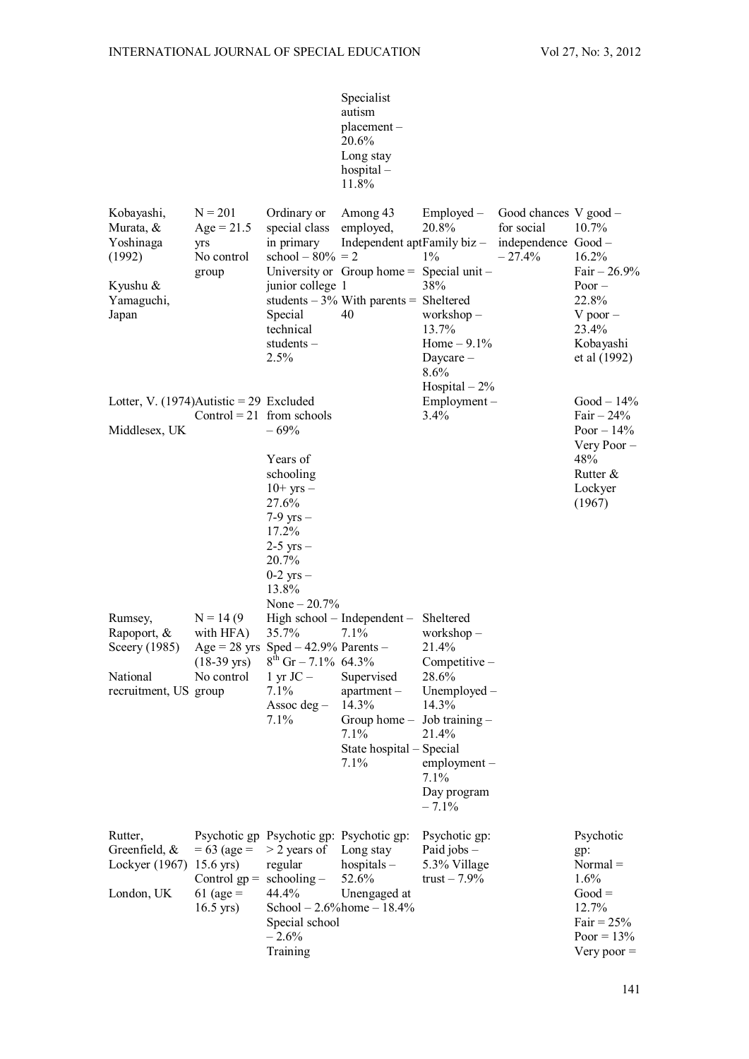Specialist autism placement – 20.6% Long stay hospital – 11.8%

| Kobayashi,<br>Murata, &<br>Yoshinaga<br>(1992)<br>Kyushu &<br>Yamaguchi,<br>Japan | $N = 201$<br>$Age = 21.5$<br>yrs<br>No control<br>group                        | Ordinary or<br>special class<br>in primary<br>school $-80% = 2$<br>junior college 1<br>Special<br>technical<br>students $-$<br>2.5%                      | Among 43<br>employed,<br>Independent aptFamily biz -<br>University or $Group home = Special unit -$<br>students $-3\%$ With parents = Sheltered<br>40 | Employed –<br>20.8%<br>$1\%$<br>38%<br>workshop $-$<br>13.7%<br>Home $-9.1%$<br>Daycare $-$<br>8.6%<br>Hospital $-2\%$                                      | Good chances V good -<br>for social<br>independence Good-<br>$-27.4%$ | 10.7%<br>16.2%<br>Fair $-26.9%$<br>Poor $-$<br>22.8%<br>$V$ poor $-$<br>23.4%<br>Kobayashi<br>et al (1992)   |
|-----------------------------------------------------------------------------------|--------------------------------------------------------------------------------|----------------------------------------------------------------------------------------------------------------------------------------------------------|-------------------------------------------------------------------------------------------------------------------------------------------------------|-------------------------------------------------------------------------------------------------------------------------------------------------------------|-----------------------------------------------------------------------|--------------------------------------------------------------------------------------------------------------|
| Lotter, V. $(1974)$ Autistic = 29 Excluded<br>Middlesex, UK<br>Rumsey,            | Control = $21$ from schools<br>$N = 14(9$                                      | $-69%$<br>Years of<br>schooling<br>$10+$ yrs $-$<br>27.6%<br>$7-9$ yrs $-$<br>17.2%<br>$2-5$ yrs $-$<br>20.7%<br>$0-2$ yrs $-$<br>13.8%<br>None $-20.7%$ | High school - Independent - Sheltered                                                                                                                 | Employment-<br>3.4%                                                                                                                                         |                                                                       | $Good - 14%$<br>Fair $-24%$<br>Poor $-14%$<br>Very Poor -<br>48%<br>Rutter $\&$<br>Lockyer<br>(1967)         |
| Rapoport, &<br>Sceery (1985)<br>National<br>recruitment, US group                 | with HFA)<br>$(18-39 \text{ yrs})$<br>No control                               | 35.7%<br>Age = 28 yrs Sped $-42.9%$ Parents $-$<br>$8^{th}$ Gr – 7.1% 64.3%<br>1 yr $JC -$<br>7.1%<br>Assoc deg $-$<br>7.1%                              | 7.1%<br>Supervised<br>$apartment -$<br>14.3%<br>Group home $-$<br>7.1%<br>State hospital – Special<br>7.1%                                            | workshop $-$<br>21.4%<br>Competitive -<br>28.6%<br>Unemployed $-$<br>14.3%<br>Job training $-$<br>21.4%<br>$employment -$<br>7.1%<br>Day program<br>$-7.1%$ |                                                                       |                                                                                                              |
| Rutter,<br>Greenfield, $&$<br>Lockyer (1967)<br>London, UK                        | $= 63$ (age $=$<br>$15.6$ yrs)<br>Control $gp =$<br>61 (age $=$<br>$16.5$ yrs) | Psychotic gp Psychotic gp: Psychotic gp:<br>$>$ 2 years of<br>regular<br>$schoding -$<br>44.4%<br>Special school<br>$-2.6%$<br>Training                  | Long stay<br>hospitals $-$<br>52.6%<br>Unengaged at<br>School $-2.6\%$ home $-18.4\%$                                                                 | Psychotic gp:<br>Paid jobs –<br>5.3% Village<br>trust $-7.9\%$                                                                                              |                                                                       | Psychotic<br>gp:<br>$Normal =$<br>1.6%<br>$Good =$<br>12.7%<br>Fair = $25%$<br>Poor = $13%$<br>Very poor $=$ |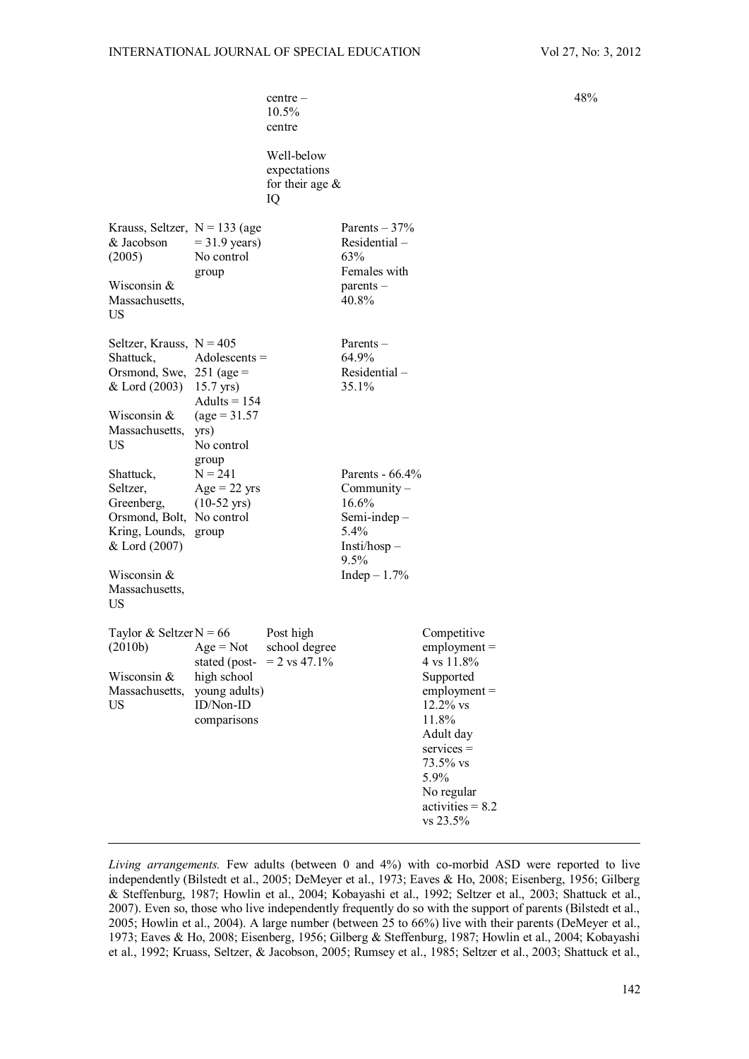|                                                                                                                                                  |                                                                                            | $centre -$<br>10.5%<br>centre<br>Well-below<br>expectations<br>for their age $&$<br>IQ |                                                                                                                 |                                                                                                                                                                                                     | 48 <sup>°</sup> |
|--------------------------------------------------------------------------------------------------------------------------------------------------|--------------------------------------------------------------------------------------------|----------------------------------------------------------------------------------------|-----------------------------------------------------------------------------------------------------------------|-----------------------------------------------------------------------------------------------------------------------------------------------------------------------------------------------------|-----------------|
| Krauss, Seltzer, $N = 133$ (age<br>& Jacobson<br>(2005)<br>Wisconsin &<br>Massachusetts,<br>US                                                   | $=$ 31.9 years)<br>No control<br>group                                                     |                                                                                        | Parents $-37%$<br>Residential-<br>63%<br>Females with<br>parents -<br>40.8%                                     |                                                                                                                                                                                                     |                 |
| Seltzer, Krauss, $N = 405$<br>Shattuck,<br>Orsmond, Swe, $251$ (age =<br>& Lord (2003) 15.7 yrs)<br>Wisconsin &<br>Massachusetts,<br>US          | $Adolescents =$<br>Adults = $154$<br>$\text{(age} = 31.57)$<br>yrs)<br>No control<br>group |                                                                                        | Parents $-$<br>64.9%<br>Residential-<br>35.1%                                                                   |                                                                                                                                                                                                     |                 |
| Shattuck,<br>Seltzer,<br>Greenberg,<br>Orsmond, Bolt, No control<br>Kring, Lounds, group<br>& Lord (2007)<br>Wisconsin &<br>Massachusetts,<br>US | $N = 241$<br>$Age = 22$ yrs<br>$(10-52 \text{ yrs})$                                       |                                                                                        | Parents - $66.4\%$<br>$Commuty -$<br>16.6%<br>Semi-indep $-$<br>5.4%<br>$Insti/hosp -$<br>9.5%<br>Indep $-1.7%$ |                                                                                                                                                                                                     |                 |
| Taylor & Seltzer $N = 66$<br>(2010b)<br>Wisconsin &<br>Massachusetts,<br>US                                                                      | $Age = Not$<br>high school<br>young adults)<br>ID/Non-ID<br>comparisons                    | Post high<br>school degree<br>stated (post- = $2 \text{ vs } 47.1\%$ )                 |                                                                                                                 | Competitive<br>$employment =$<br>4 vs 11.8%<br>Supported<br>$employment =$<br>12.2% vs<br>11.8%<br>Adult day<br>$s$ ervices $=$<br>73.5% vs<br>5.9%<br>No regular<br>$activities = 8.2$<br>vs 23.5% |                 |

*Living arrangements.* Few adults (between 0 and 4%) with co-morbid ASD were reported to live independently (Bilstedt et al., 2005; DeMeyer et al., 1973; Eaves & Ho, 2008; Eisenberg, 1956; Gilberg & Steffenburg, 1987; Howlin et al., 2004; Kobayashi et al., 1992; Seltzer et al., 2003; Shattuck et al., 2007). Even so, those who live independently frequently do so with the support of parents (Bilstedt et al., 2005; Howlin et al., 2004). A large number (between 25 to 66%) live with their parents (DeMeyer et al., 1973; Eaves & Ho, 2008; Eisenberg, 1956; Gilberg & Steffenburg, 1987; Howlin et al., 2004; Kobayashi et al., 1992; Kruass, Seltzer, & Jacobson, 2005; Rumsey et al., 1985; Seltzer et al., 2003; Shattuck et al.,

48%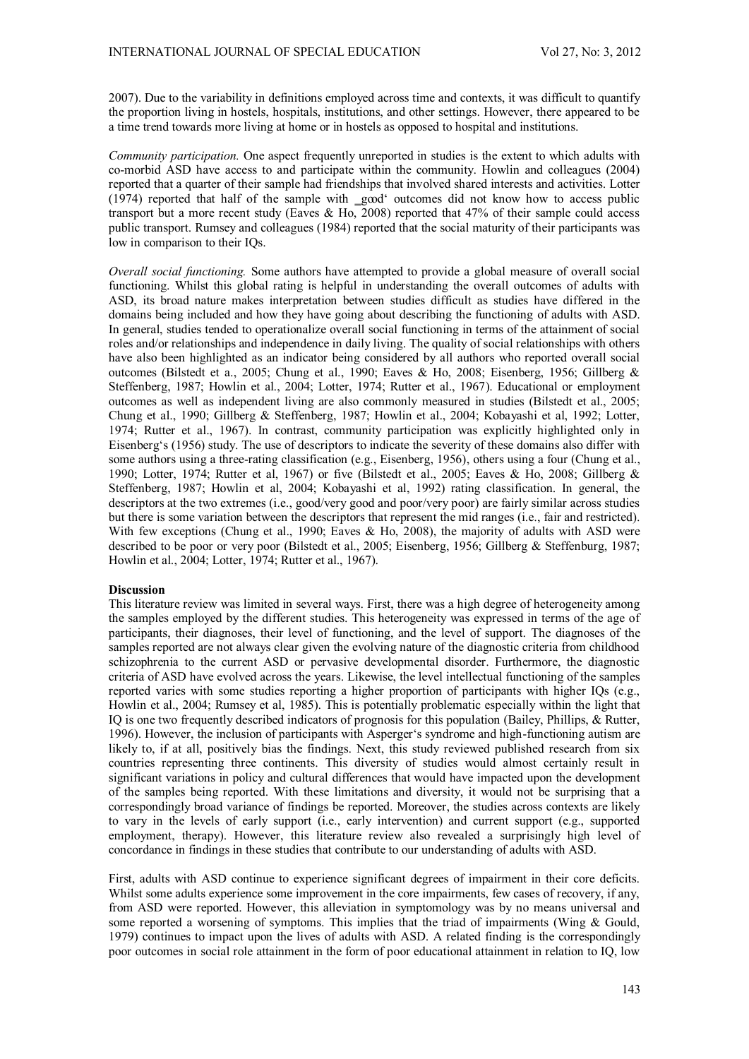2007). Due to the variability in definitions employed across time and contexts, it was difficult to quantify the proportion living in hostels, hospitals, institutions, and other settings. However, there appeared to be a time trend towards more living at home or in hostels as opposed to hospital and institutions.

*Community participation.* One aspect frequently unreported in studies is the extent to which adults with co-morbid ASD have access to and participate within the community. Howlin and colleagues (2004) reported that a quarter of their sample had friendships that involved shared interests and activities. Lotter (1974) reported that half of the sample with good' outcomes did not know how to access public transport but a more recent study (Eaves & Ho, 2008) reported that 47% of their sample could access public transport. Rumsey and colleagues (1984) reported that the social maturity of their participants was low in comparison to their IQs.

*Overall social functioning.* Some authors have attempted to provide a global measure of overall social functioning. Whilst this global rating is helpful in understanding the overall outcomes of adults with ASD, its broad nature makes interpretation between studies difficult as studies have differed in the domains being included and how they have going about describing the functioning of adults with ASD. In general, studies tended to operationalize overall social functioning in terms of the attainment of social roles and/or relationships and independence in daily living. The quality of social relationships with others have also been highlighted as an indicator being considered by all authors who reported overall social outcomes (Bilstedt et a., 2005; Chung et al., 1990; Eaves & Ho, 2008; Eisenberg, 1956; Gillberg & Steffenberg, 1987; Howlin et al., 2004; Lotter, 1974; Rutter et al., 1967). Educational or employment outcomes as well as independent living are also commonly measured in studies (Bilstedt et al., 2005; Chung et al., 1990; Gillberg & Steffenberg, 1987; Howlin et al., 2004; Kobayashi et al, 1992; Lotter, 1974; Rutter et al., 1967). In contrast, community participation was explicitly highlighted only in Eisenberg's (1956) study. The use of descriptors to indicate the severity of these domains also differ with some authors using a three-rating classification (e.g., Eisenberg, 1956), others using a four (Chung et al., 1990; Lotter, 1974; Rutter et al, 1967) or five (Bilstedt et al., 2005; Eaves & Ho, 2008; Gillberg & Steffenberg, 1987; Howlin et al, 2004; Kobayashi et al, 1992) rating classification. In general, the descriptors at the two extremes (i.e., good/very good and poor/very poor) are fairly similar across studies but there is some variation between the descriptors that represent the mid ranges (i.e., fair and restricted). With few exceptions (Chung et al., 1990; Eaves & Ho, 2008), the majority of adults with ASD were described to be poor or very poor (Bilstedt et al., 2005; Eisenberg, 1956; Gillberg & Steffenburg, 1987; Howlin et al., 2004; Lotter, 1974; Rutter et al., 1967).

### **Discussion**

This literature review was limited in several ways. First, there was a high degree of heterogeneity among the samples employed by the different studies. This heterogeneity was expressed in terms of the age of participants, their diagnoses, their level of functioning, and the level of support. The diagnoses of the samples reported are not always clear given the evolving nature of the diagnostic criteria from childhood schizophrenia to the current ASD or pervasive developmental disorder. Furthermore, the diagnostic criteria of ASD have evolved across the years. Likewise, the level intellectual functioning of the samples reported varies with some studies reporting a higher proportion of participants with higher IQs (e.g., Howlin et al., 2004; Rumsey et al, 1985). This is potentially problematic especially within the light that IQ is one two frequently described indicators of prognosis for this population (Bailey, Phillips, & Rutter, 1996). However, the inclusion of participants with Asperger's syndrome and high-functioning autism are likely to, if at all, positively bias the findings. Next, this study reviewed published research from six countries representing three continents. This diversity of studies would almost certainly result in significant variations in policy and cultural differences that would have impacted upon the development of the samples being reported. With these limitations and diversity, it would not be surprising that a correspondingly broad variance of findings be reported. Moreover, the studies across contexts are likely to vary in the levels of early support (i.e., early intervention) and current support (e.g., supported employment, therapy). However, this literature review also revealed a surprisingly high level of concordance in findings in these studies that contribute to our understanding of adults with ASD.

First, adults with ASD continue to experience significant degrees of impairment in their core deficits. Whilst some adults experience some improvement in the core impairments, few cases of recovery, if any, from ASD were reported. However, this alleviation in symptomology was by no means universal and some reported a worsening of symptoms. This implies that the triad of impairments (Wing & Gould, 1979) continues to impact upon the lives of adults with ASD. A related finding is the correspondingly poor outcomes in social role attainment in the form of poor educational attainment in relation to IQ, low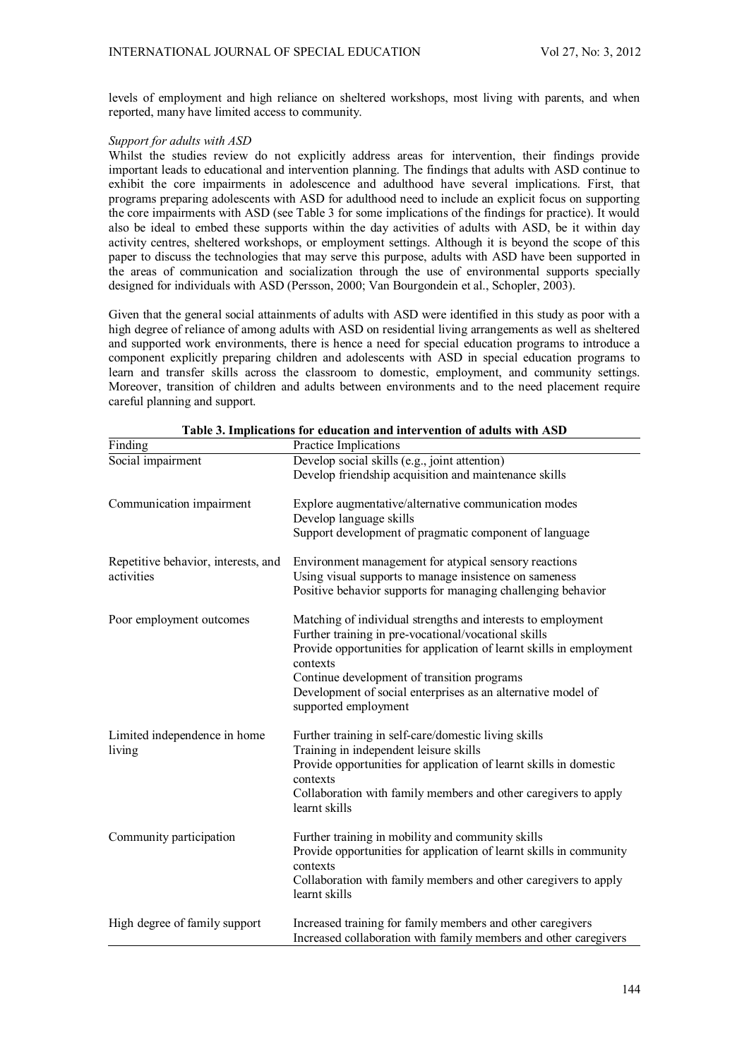levels of employment and high reliance on sheltered workshops, most living with parents, and when reported, many have limited access to community.

# *Support for adults with ASD*

Whilst the studies review do not explicitly address areas for intervention, their findings provide important leads to educational and intervention planning. The findings that adults with ASD continue to exhibit the core impairments in adolescence and adulthood have several implications. First, that programs preparing adolescents with ASD for adulthood need to include an explicit focus on supporting the core impairments with ASD (see Table 3 for some implications of the findings for practice). It would also be ideal to embed these supports within the day activities of adults with ASD, be it within day activity centres, sheltered workshops, or employment settings. Although it is beyond the scope of this paper to discuss the technologies that may serve this purpose, adults with ASD have been supported in the areas of communication and socialization through the use of environmental supports specially designed for individuals with ASD (Persson, 2000; Van Bourgondein et al., Schopler, 2003).

Given that the general social attainments of adults with ASD were identified in this study as poor with a high degree of reliance of among adults with ASD on residential living arrangements as well as sheltered and supported work environments, there is hence a need for special education programs to introduce a component explicitly preparing children and adolescents with ASD in special education programs to learn and transfer skills across the classroom to domestic, employment, and community settings. Moreover, transition of children and adults between environments and to the need placement require careful planning and support.

| Finding                                           | Practice Implications                                                                                                                                                                                                                                                                                                                           |
|---------------------------------------------------|-------------------------------------------------------------------------------------------------------------------------------------------------------------------------------------------------------------------------------------------------------------------------------------------------------------------------------------------------|
| Social impairment                                 | Develop social skills (e.g., joint attention)<br>Develop friendship acquisition and maintenance skills                                                                                                                                                                                                                                          |
| Communication impairment                          | Explore augmentative/alternative communication modes<br>Develop language skills<br>Support development of pragmatic component of language                                                                                                                                                                                                       |
| Repetitive behavior, interests, and<br>activities | Environment management for atypical sensory reactions<br>Using visual supports to manage insistence on sameness<br>Positive behavior supports for managing challenging behavior                                                                                                                                                                 |
| Poor employment outcomes                          | Matching of individual strengths and interests to employment<br>Further training in pre-vocational/vocational skills<br>Provide opportunities for application of learnt skills in employment<br>contexts<br>Continue development of transition programs<br>Development of social enterprises as an alternative model of<br>supported employment |
| Limited independence in home<br>living            | Further training in self-care/domestic living skills<br>Training in independent leisure skills<br>Provide opportunities for application of learnt skills in domestic<br>contexts<br>Collaboration with family members and other caregivers to apply<br>learnt skills                                                                            |
| Community participation                           | Further training in mobility and community skills<br>Provide opportunities for application of learnt skills in community<br>contexts<br>Collaboration with family members and other caregivers to apply<br>learnt skills                                                                                                                        |
| High degree of family support                     | Increased training for family members and other caregivers<br>Increased collaboration with family members and other caregivers                                                                                                                                                                                                                  |

**Table 3. Implications for education and intervention of adults with ASD**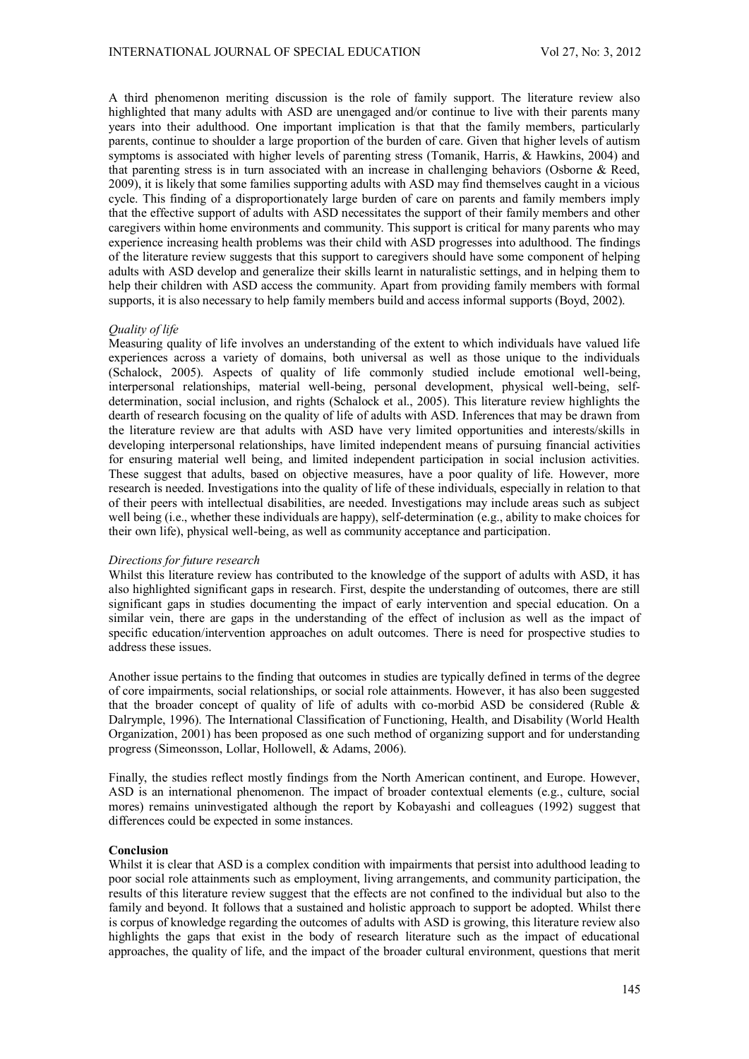A third phenomenon meriting discussion is the role of family support. The literature review also highlighted that many adults with ASD are unengaged and/or continue to live with their parents many years into their adulthood. One important implication is that that the family members, particularly parents, continue to shoulder a large proportion of the burden of care. Given that higher levels of autism symptoms is associated with higher levels of parenting stress (Tomanik, Harris, & Hawkins, 2004) and that parenting stress is in turn associated with an increase in challenging behaviors (Osborne & Reed, 2009), it is likely that some families supporting adults with ASD may find themselves caught in a vicious cycle. This finding of a disproportionately large burden of care on parents and family members imply that the effective support of adults with ASD necessitates the support of their family members and other caregivers within home environments and community. This support is critical for many parents who may experience increasing health problems was their child with ASD progresses into adulthood. The findings of the literature review suggests that this support to caregivers should have some component of helping adults with ASD develop and generalize their skills learnt in naturalistic settings, and in helping them to help their children with ASD access the community. Apart from providing family members with formal supports, it is also necessary to help family members build and access informal supports (Boyd, 2002).

## *Quality of life*

Measuring quality of life involves an understanding of the extent to which individuals have valued life experiences across a variety of domains, both universal as well as those unique to the individuals (Schalock, 2005). Aspects of quality of life commonly studied include emotional well-being, interpersonal relationships, material well-being, personal development, physical well-being, selfdetermination, social inclusion, and rights (Schalock et al., 2005). This literature review highlights the dearth of research focusing on the quality of life of adults with ASD. Inferences that may be drawn from the literature review are that adults with ASD have very limited opportunities and interests/skills in developing interpersonal relationships, have limited independent means of pursuing financial activities for ensuring material well being, and limited independent participation in social inclusion activities. These suggest that adults, based on objective measures, have a poor quality of life. However, more research is needed. Investigations into the quality of life of these individuals, especially in relation to that of their peers with intellectual disabilities, are needed. Investigations may include areas such as subject well being (i.e., whether these individuals are happy), self-determination (e.g., ability to make choices for their own life), physical well-being, as well as community acceptance and participation.

## *Directions for future research*

Whilst this literature review has contributed to the knowledge of the support of adults with ASD, it has also highlighted significant gaps in research. First, despite the understanding of outcomes, there are still significant gaps in studies documenting the impact of early intervention and special education. On a similar vein, there are gaps in the understanding of the effect of inclusion as well as the impact of specific education/intervention approaches on adult outcomes. There is need for prospective studies to address these issues.

Another issue pertains to the finding that outcomes in studies are typically defined in terms of the degree of core impairments, social relationships, or social role attainments. However, it has also been suggested that the broader concept of quality of life of adults with co-morbid ASD be considered (Ruble & Dalrymple, 1996). The International Classification of Functioning, Health, and Disability (World Health Organization, 2001) has been proposed as one such method of organizing support and for understanding progress (Simeonsson, Lollar, Hollowell, & Adams, 2006).

Finally, the studies reflect mostly findings from the North American continent, and Europe. However, ASD is an international phenomenon. The impact of broader contextual elements (e.g., culture, social mores) remains uninvestigated although the report by Kobayashi and colleagues (1992) suggest that differences could be expected in some instances.

### **Conclusion**

Whilst it is clear that ASD is a complex condition with impairments that persist into adulthood leading to poor social role attainments such as employment, living arrangements, and community participation, the results of this literature review suggest that the effects are not confined to the individual but also to the family and beyond. It follows that a sustained and holistic approach to support be adopted. Whilst there is corpus of knowledge regarding the outcomes of adults with ASD is growing, this literature review also highlights the gaps that exist in the body of research literature such as the impact of educational approaches, the quality of life, and the impact of the broader cultural environment, questions that merit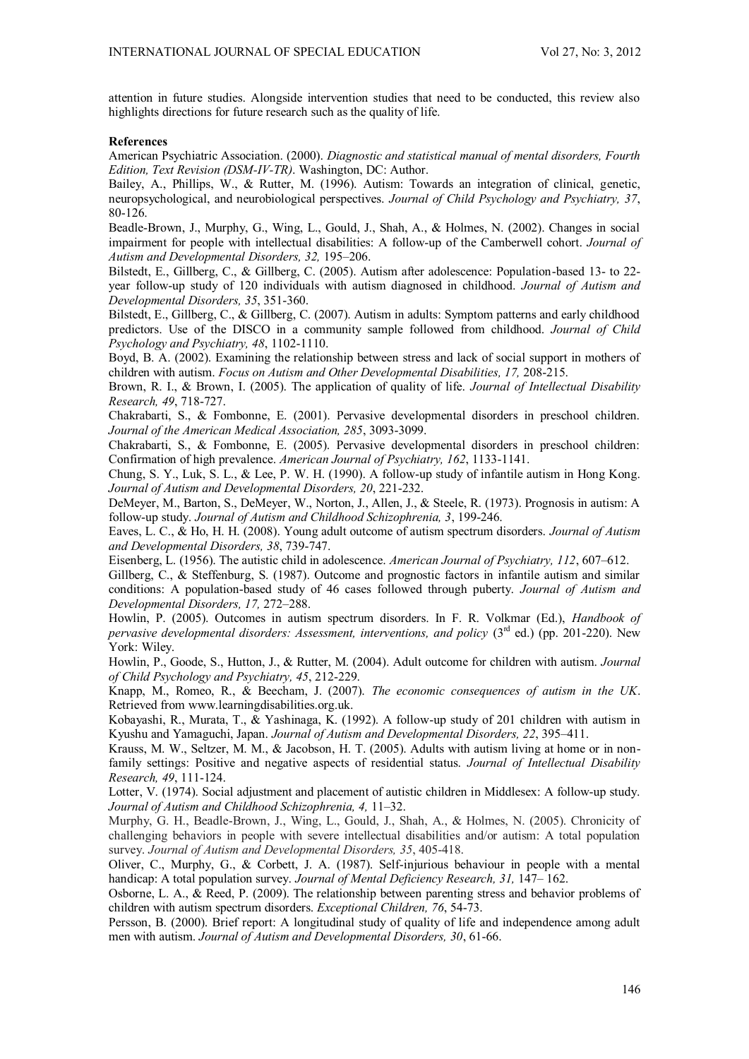attention in future studies. Alongside intervention studies that need to be conducted, this review also highlights directions for future research such as the quality of life.

### **References**

American Psychiatric Association. (2000). *Diagnostic and statistical manual of mental disorders, Fourth Edition, Text Revision (DSM-IV-TR)*. Washington, DC: Author.

Bailey, A., Phillips, W., & Rutter, M. (1996). Autism: Towards an integration of clinical, genetic, neuropsychological, and neurobiological perspectives. *Journal of Child Psychology and Psychiatry, 37*, 80-126.

Beadle-Brown, J., Murphy, G., Wing, L., Gould, J., Shah, A., & Holmes, N. (2002). Changes in social impairment for people with intellectual disabilities: A follow-up of the Camberwell cohort. *Journal of Autism and Developmental Disorders, 32,* 195–206.

Bilstedt, E., Gillberg, C., & Gillberg, C. (2005). Autism after adolescence: Population-based 13- to 22 year follow-up study of 120 individuals with autism diagnosed in childhood. *Journal of Autism and Developmental Disorders, 35*, 351-360.

Bilstedt, E., Gillberg, C., & Gillberg, C. (2007). Autism in adults: Symptom patterns and early childhood predictors. Use of the DISCO in a community sample followed from childhood. *Journal of Child Psychology and Psychiatry, 48*, 1102-1110.

Boyd, B. A. (2002). Examining the relationship between stress and lack of social support in mothers of children with autism. *Focus on Autism and Other Developmental Disabilities, 17,* 208-215.

Brown, R. I., & Brown, I. (2005). The application of quality of life. *Journal of Intellectual Disability Research, 49*, 718-727.

Chakrabarti, S., & Fombonne, E. (2001). Pervasive developmental disorders in preschool children. *Journal of the American Medical Association, 285*, 3093-3099.

Chakrabarti, S., & Fombonne, E. (2005). Pervasive developmental disorders in preschool children: Confirmation of high prevalence. *American Journal of Psychiatry, 162*, 1133-1141.

Chung, S. Y., Luk, S. L., & Lee, P. W. H. (1990). A follow-up study of infantile autism in Hong Kong. *Journal of Autism and Developmental Disorders, 20*, 221-232.

DeMeyer, M., Barton, S., DeMeyer, W., Norton, J., Allen, J., & Steele, R. (1973). Prognosis in autism: A follow-up study. *Journal of Autism and Childhood Schizophrenia, 3*, 199-246.

Eaves, L. C., & Ho, H. H. (2008). Young adult outcome of autism spectrum disorders. *Journal of Autism and Developmental Disorders, 38*, 739-747.

Eisenberg, L. (1956). The autistic child in adolescence. *American Journal of Psychiatry, 112*, 607–612.

Gillberg, C., & Steffenburg, S. (1987). Outcome and prognostic factors in infantile autism and similar conditions: A population-based study of 46 cases followed through puberty. *Journal of Autism and Developmental Disorders, 17,* 272–288.

Howlin, P. (2005). Outcomes in autism spectrum disorders. In F. R. Volkmar (Ed.), *Handbook of pervasive developmental disorders: Assessment, interventions, and policy* (3<sup>rd</sup> ed.) (pp. 201-220). New York: Wiley.

Howlin, P., Goode, S., Hutton, J., & Rutter, M. (2004). Adult outcome for children with autism. *Journal of Child Psychology and Psychiatry, 45*, 212-229.

Knapp, M., Romeo, R., & Beecham, J. (2007). *The economic consequences of autism in the UK*. Retrieved from www.learningdisabilities.org.uk.

Kobayashi, R., Murata, T., & Yashinaga, K. (1992). A follow-up study of 201 children with autism in Kyushu and Yamaguchi, Japan. *Journal of Autism and Developmental Disorders, 22*, 395–411.

Krauss, M. W., Seltzer, M. M., & Jacobson, H. T. (2005). Adults with autism living at home or in nonfamily settings: Positive and negative aspects of residential status. *Journal of Intellectual Disability Research, 49*, 111-124.

Lotter, V. (1974). Social adjustment and placement of autistic children in Middlesex: A follow-up study. *Journal of Autism and Childhood Schizophrenia, 4,* 11–32.

Murphy, G. H., Beadle-Brown, J., Wing, L., Gould, J., Shah, A., & Holmes, N. (2005). Chronicity of challenging behaviors in people with severe intellectual disabilities and/or autism: A total population survey. *Journal of Autism and Developmental Disorders, 35*, 405-418.

Oliver, C., Murphy, G., & Corbett, J. A. (1987). Self-injurious behaviour in people with a mental handicap: A total population survey. *Journal of Mental Deficiency Research, 31,* 147– 162.

Osborne, L. A., & Reed, P. (2009). The relationship between parenting stress and behavior problems of children with autism spectrum disorders. *Exceptional Children, 76*, 54-73.

Persson, B. (2000). Brief report: A longitudinal study of quality of life and independence among adult men with autism. *Journal of Autism and Developmental Disorders, 30*, 61-66.